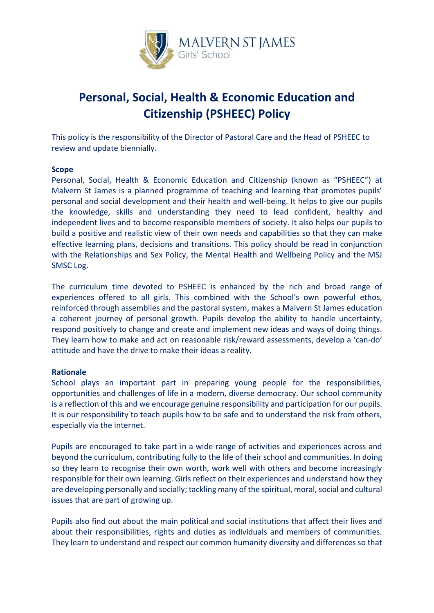

# **Personal, Social, Health & Economic Education and Citizenship (PSHEEC) Policy**

This policy is the responsibility of the Director of Pastoral Care and the Head of PSHEEC to review and update biennially.

#### **Scope**

Personal, Social, Health & Economic Education and Citizenship (known as "PSHEEC") at Malvern St James is a planned programme of teaching and learning that promotes pupils' personal and social development and their health and well-being. It helps to give our pupils the knowledge, skills and understanding they need to lead confident, healthy and independent lives and to become responsible members of society. It also helps our pupils to build a positive and realistic view of their own needs and capabilities so that they can make effective learning plans, decisions and transitions. This policy should be read in conjunction with the Relationships and Sex Policy, the Mental Health and Wellbeing Policy and the MSJ SMSC Log.

The curriculum time devoted to PSHEEC is enhanced by the rich and broad range of experiences offered to all girls. This combined with the School's own powerful ethos, reinforced through assemblies and the pastoral system, makes a Malvern St James education a coherent journey of personal growth. Pupils develop the ability to handle uncertainty, respond positively to change and create and implement new ideas and ways of doing things. They learn how to make and act on reasonable risk/reward assessments, develop a 'can-do' attitude and have the drive to make their ideas a reality.

## **Rationale**

School plays an important part in preparing young people for the responsibilities, opportunities and challenges of life in a modern, diverse democracy. Our school community is a reflection of this and we encourage genuine responsibility and participation for our pupils. It is our responsibility to teach pupils how to be safe and to understand the risk from others, especially via the internet.

Pupils are encouraged to take part in a wide range of activities and experiences across and beyond the curriculum, contributing fully to the life of their school and communities. In doing so they learn to recognise their own worth, work well with others and become increasingly responsible for their own learning. Girls reflect on their experiences and understand how they are developing personally and socially; tackling many of the spiritual, moral, social and cultural issues that are part of growing up.

Pupils also find out about the main political and social institutions that affect their lives and about their responsibilities, rights and duties as individuals and members of communities. They learn to understand and respect our common humanity diversity and differences so that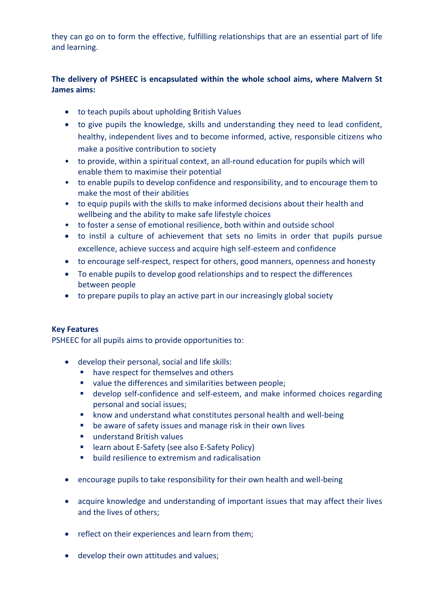they can go on to form the effective, fulfilling relationships that are an essential part of life and learning.

## **The delivery of PSHEEC is encapsulated within the whole school aims, where Malvern St James aims:**

- to teach pupils about upholding British Values
- to give pupils the knowledge, skills and understanding they need to lead confident, healthy, independent lives and to become informed, active, responsible citizens who make a positive contribution to society
- to provide, within a spiritual context, an all-round education for pupils which will enable them to maximise their potential
- to enable pupils to develop confidence and responsibility, and to encourage them to make the most of their abilities
- to equip pupils with the skills to make informed decisions about their health and wellbeing and the ability to make safe lifestyle choices
- to foster a sense of emotional resilience, both within and outside school
- to instil a culture of achievement that sets no limits in order that pupils pursue excellence, achieve success and acquire high self-esteem and confidence
- to encourage self-respect, respect for others, good manners, openness and honesty
- To enable pupils to develop good relationships and to respect the differences between people
- to prepare pupils to play an active part in our increasingly global society

## **Key Features**

PSHEEC for all pupils aims to provide opportunities to:

- develop their personal, social and life skills:
	- have respect for themselves and others
	- value the differences and similarities between people;
	- develop self-confidence and self-esteem, and make informed choices regarding personal and social issues;
	- know and understand what constitutes personal health and well-being
	- be aware of safety issues and manage risk in their own lives
	- understand British values
	- learn about E-Safety (see also E-Safety Policy)
	- build resilience to extremism and radicalisation
- encourage pupils to take responsibility for their own health and well-being
- acquire knowledge and understanding of important issues that may affect their lives and the lives of others;
- reflect on their experiences and learn from them;
- develop their own attitudes and values;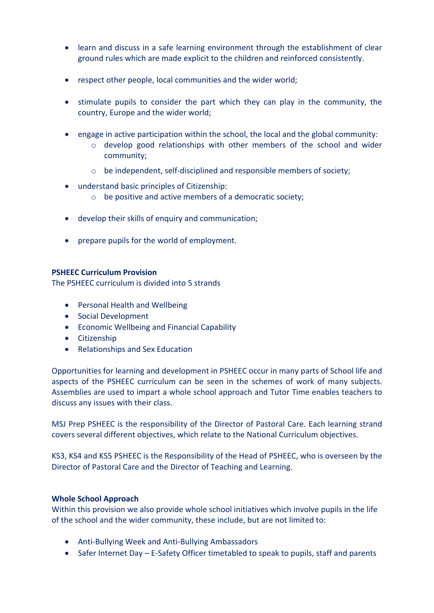- learn and discuss in a safe learning environment through the establishment of clear ground rules which are made explicit to the children and reinforced consistently.
- respect other people, local communities and the wider world;
- stimulate pupils to consider the part which they can play in the community, the country, Europe and the wider world;
- engage in active participation within the school, the local and the global community:
	- $\circ$  develop good relationships with other members of the school and wider community;
	- o be independent, self-disciplined and responsible members of society;
- understand basic principles of Citizenship:
	- o be positive and active members of a democratic society;
- develop their skills of enquiry and communication;
- prepare pupils for the world of employment.

## **PSHEEC Curriculum Provision**

The PSHEEC curriculum is divided into 5 strands

- Personal Health and Wellbeing
- Social Development
- Economic Wellbeing and Financial Capability
- Citizenship
- Relationships and Sex Education

Opportunities for learning and development in PSHEEC occur in many parts of School life and aspects of the PSHEEC curriculum can be seen in the schemes of work of many subjects. Assemblies are used to impart a whole school approach and Tutor Time enables teachers to discuss any issues with their class.

MSJ Prep PSHEEC is the responsibility of the Director of Pastoral Care. Each learning strand covers several different objectives, which relate to the National Curriculum objectives.

KS3, KS4 and KS5 PSHEEC is the Responsibility of the Head of PSHEEC, who is overseen by the Director of Pastoral Care and the Director of Teaching and Learning.

## **Whole School Approach**

Within this provision we also provide whole school initiatives which involve pupils in the life of the school and the wider community, these include, but are not limited to:

- Anti-Bullying Week and Anti-Bullying Ambassadors
- Safer Internet Day E-Safety Officer timetabled to speak to pupils, staff and parents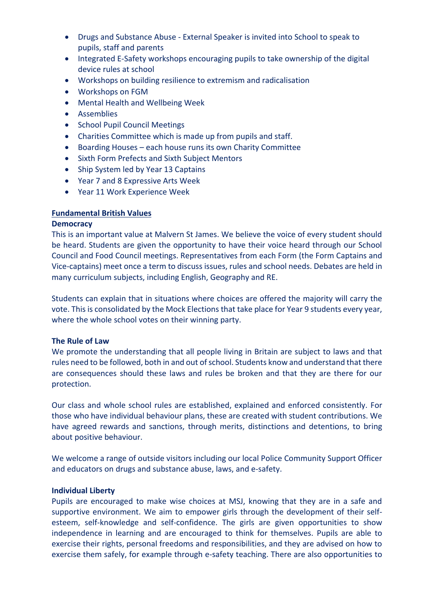- Drugs and Substance Abuse External Speaker is invited into School to speak to pupils, staff and parents
- Integrated E-Safety workshops encouraging pupils to take ownership of the digital device rules at school
- Workshops on building resilience to extremism and radicalisation
- Workshops on FGM
- Mental Health and Wellbeing Week
- Assemblies
- School Pupil Council Meetings
- Charities Committee which is made up from pupils and staff.
- Boarding Houses each house runs its own Charity Committee
- Sixth Form Prefects and Sixth Subject Mentors
- Ship System led by Year 13 Captains
- Year 7 and 8 Expressive Arts Week
- Year 11 Work Experience Week

## **Fundamental British Values**

#### **Democracy**

This is an important value at Malvern St James. We believe the voice of every student should be heard. Students are given the opportunity to have their voice heard through our School Council and Food Council meetings. Representatives from each Form (the Form Captains and Vice-captains) meet once a term to discuss issues, rules and school needs. Debates are held in many curriculum subjects, including English, Geography and RE.

Students can explain that in situations where choices are offered the majority will carry the vote. This is consolidated by the Mock Elections that take place for Year 9 students every year, where the whole school votes on their winning party.

## **The Rule of Law**

We promote the understanding that all people living in Britain are subject to laws and that rules need to be followed, both in and out of school. Students know and understand that there are consequences should these laws and rules be broken and that they are there for our protection.

Our class and whole school rules are established, explained and enforced consistently. For those who have individual behaviour plans, these are created with student contributions. We have agreed rewards and sanctions, through merits, distinctions and detentions, to bring about positive behaviour.

We welcome a range of outside visitors including our local Police Community Support Officer and educators on drugs and substance abuse, laws, and e-safety.

## **Individual Liberty**

Pupils are encouraged to make wise choices at MSJ, knowing that they are in a safe and supportive environment. We aim to empower girls through the development of their selfesteem, self-knowledge and self-confidence. The girls are given opportunities to show independence in learning and are encouraged to think for themselves. Pupils are able to exercise their rights, personal freedoms and responsibilities, and they are advised on how to exercise them safely, for example through e-safety teaching. There are also opportunities to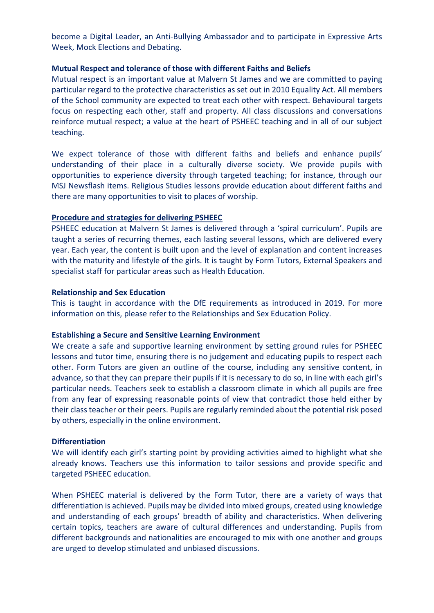become a Digital Leader, an Anti-Bullying Ambassador and to participate in Expressive Arts Week, Mock Elections and Debating.

## **Mutual Respect and tolerance of those with different Faiths and Beliefs**

Mutual respect is an important value at Malvern St James and we are committed to paying particular regard to the protective characteristics as set out in 2010 Equality Act. All members of the School community are expected to treat each other with respect. Behavioural targets focus on respecting each other, staff and property. All class discussions and conversations reinforce mutual respect; a value at the heart of PSHEEC teaching and in all of our subject teaching.

We expect tolerance of those with different faiths and beliefs and enhance pupils' understanding of their place in a culturally diverse society. We provide pupils with opportunities to experience diversity through targeted teaching; for instance, through our MSJ Newsflash items. Religious Studies lessons provide education about different faiths and there are many opportunities to visit to places of worship.

#### **Procedure and strategies for delivering PSHEEC**

PSHEEC education at Malvern St James is delivered through a 'spiral curriculum'. Pupils are taught a series of recurring themes, each lasting several lessons, which are delivered every year. Each year, the content is built upon and the level of explanation and content increases with the maturity and lifestyle of the girls. It is taught by Form Tutors, External Speakers and specialist staff for particular areas such as Health Education.

#### **Relationship and Sex Education**

This is taught in accordance with the DfE requirements as introduced in 2019. For more information on this, please refer to the Relationships and Sex Education Policy.

#### **Establishing a Secure and Sensitive Learning Environment**

We create a safe and supportive learning environment by setting ground rules for PSHEEC lessons and tutor time, ensuring there is no judgement and educating pupils to respect each other. Form Tutors are given an outline of the course, including any sensitive content, in advance, so that they can prepare their pupils if it is necessary to do so, in line with each girl's particular needs. Teachers seek to establish a classroom climate in which all pupils are free from any fear of expressing reasonable points of view that contradict those held either by their class teacher or their peers. Pupils are regularly reminded about the potential risk posed by others, especially in the online environment.

#### **Differentiation**

We will identify each girl's starting point by providing activities aimed to highlight what she already knows. Teachers use this information to tailor sessions and provide specific and targeted PSHEEC education.

When PSHEEC material is delivered by the Form Tutor, there are a variety of ways that differentiation is achieved. Pupils may be divided into mixed groups, created using knowledge and understanding of each groups' breadth of ability and characteristics. When delivering certain topics, teachers are aware of cultural differences and understanding. Pupils from different backgrounds and nationalities are encouraged to mix with one another and groups are urged to develop stimulated and unbiased discussions.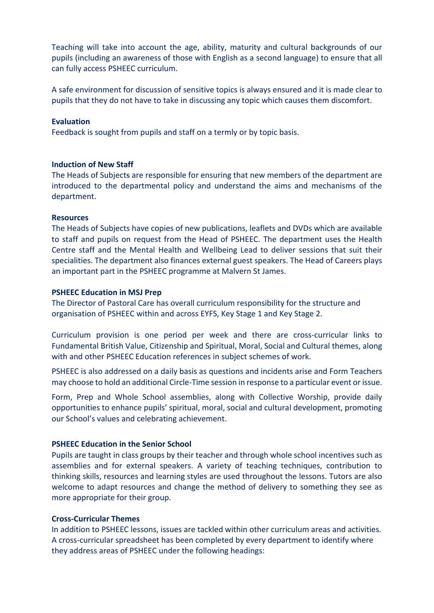Teaching will take into account the age, ability, maturity and cultural backgrounds of our pupils (including an awareness of those with English as a second language) to ensure that all can fully access PSHEEC curriculum.

A safe environment for discussion of sensitive topics is always ensured and it is made clear to pupils that they do not have to take in discussing any topic which causes them discomfort.

#### **Evaluation**

Feedback is sought from pupils and staff on a termly or by topic basis.

#### **Induction of New Staff**

The Heads of Subjects are responsible for ensuring that new members of the department are introduced to the departmental policy and understand the aims and mechanisms of the department.

#### **Resources**

The Heads of Subjects have copies of new publications, leaflets and DVDs which are available to staff and pupils on request from the Head of PSHEEC. The department uses the Health Centre staff and the Mental Health and Wellbeing Lead to deliver sessions that suit their specialities. The department also finances external guest speakers. The Head of Careers plays an important part in the PSHEEC programme at Malvern St James.

#### **PSHEEC Education in MSJ Prep**

The Director of Pastoral Care has overall curriculum responsibility for the structure and organisation of PSHEEC within and across EYFS, Key Stage 1 and Key Stage 2.

Curriculum provision is one period per week and there are cross-curricular links to Fundamental British Value, Citizenship and Spiritual, Moral, Social and Cultural themes, along with and other PSHEEC Education references in subject schemes of work.

PSHEEC is also addressed on a daily basis as questions and incidents arise and Form Teachers may choose to hold an additional Circle-Time session in response to a particular event or issue.

Form, Prep and Whole School assemblies, along with Collective Worship, provide daily opportunities to enhance pupils' spiritual, moral, social and cultural development, promoting our School's values and celebrating achievement.

## **PSHEEC Education in the Senior School**

Pupils are taught in class groups by their teacher and through whole school incentives such as assemblies and for external speakers. A variety of teaching techniques, contribution to thinking skills, resources and learning styles are used throughout the lessons. Tutors are also welcome to adapt resources and change the method of delivery to something they see as more appropriate for their group.

## **Cross-Curricular Themes**

In addition to PSHEEC lessons, issues are tackled within other curriculum areas and activities. A cross-curricular spreadsheet has been completed by every department to identify where they address areas of PSHEEC under the following headings: